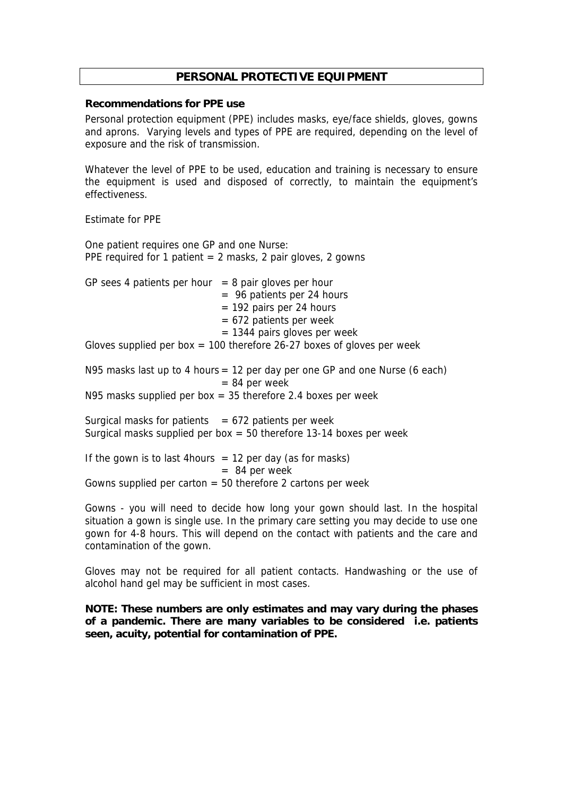# **PERSONAL PROTECTIVE EQUIPMENT**

### **Recommendations for PPE use**

Personal protection equipment (PPE) includes masks, eye/face shields, gloves, gowns and aprons. Varying levels and types of PPE are required, depending on the level of exposure and the risk of transmission.

Whatever the level of PPE to be used, education and training is necessary to ensure the equipment is used and disposed of correctly, to maintain the equipment's effectiveness.

#### Estimate for PPE

One patient requires one GP and one Nurse: PPE required for 1 patient  $= 2$  masks, 2 pair gloves, 2 gowns

| GP sees 4 patients per hour $= 8$ pair gloves per hour |                                                                        |
|--------------------------------------------------------|------------------------------------------------------------------------|
|                                                        | $=$ 96 patients per 24 hours                                           |
|                                                        | $= 192$ pairs per 24 hours                                             |
|                                                        | $= 672$ patients per week                                              |
|                                                        | $= 1344$ pairs gloves per week                                         |
|                                                        | Gloves supplied per box = 100 therefore 26-27 boxes of gloves per week |

N95 masks last up to 4 hours = 12 per day per one GP and one Nurse (6 each)  $= 84$  per week N95 masks supplied per box  $=$  35 therefore 2.4 boxes per week

Surgical masks for patients  $= 672$  patients per week Surgical masks supplied per box  $=$  50 therefore 13-14 boxes per week

If the gown is to last 4 hours  $= 12$  per day (as for masks)  $= 84$  per week Gowns supplied per carton  $= 50$  therefore 2 cartons per week

Gowns - you will need to decide how long your gown should last. In the hospital situation a gown is single use. In the primary care setting you may decide to use one gown for 4-8 hours. This will depend on the contact with patients and the care and contamination of the gown.

Gloves may not be required for all patient contacts. Handwashing or the use of alcohol hand gel may be sufficient in most cases.

**NOTE: These numbers are only estimates and may vary during the phases of a pandemic. There are many variables to be considered i.e. patients seen, acuity, potential for contamination of PPE.**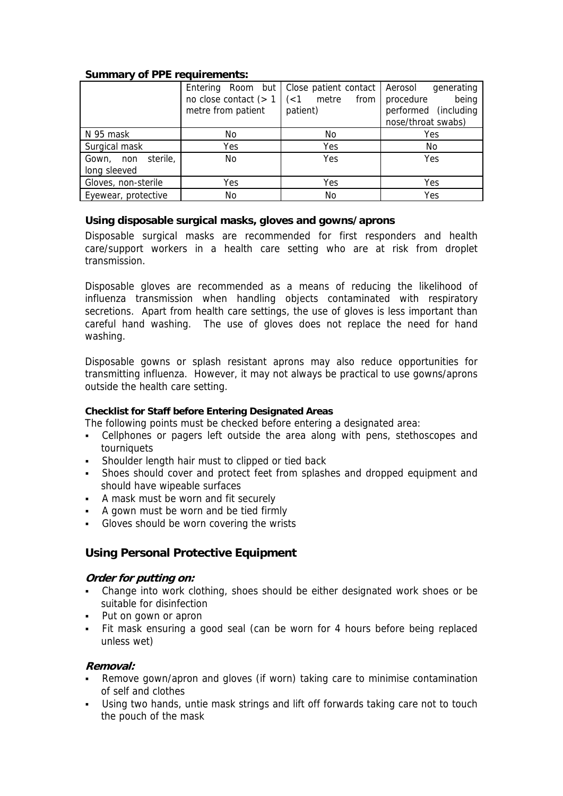## **Summary of PPE requirements:**

|                                    | no close contact $(> 1 \mid (<1 \text{ metre})$<br>metre from patient | Entering Room but   Close patient contact  <br>from<br>patient) | Aerosol<br>generating<br>procedure<br>being<br>performed (including<br>nose/throat swabs) |
|------------------------------------|-----------------------------------------------------------------------|-----------------------------------------------------------------|-------------------------------------------------------------------------------------------|
| N 95 mask                          | No.                                                                   | No.                                                             | Yes                                                                                       |
| Surgical mask                      | Yes                                                                   | Yes                                                             | No.                                                                                       |
| Gown, non sterile,<br>long sleeved | No.                                                                   | Yes                                                             | Yes                                                                                       |
| Gloves, non-sterile                | Yes                                                                   | Yes                                                             | Yes                                                                                       |
| Eyewear, protective                | No                                                                    | No                                                              | Yes                                                                                       |

## **Using disposable surgical masks, gloves and gowns/aprons**

Disposable surgical masks are recommended for first responders and health care/support workers in a health care setting who are at risk from droplet transmission.

Disposable gloves are recommended as a means of reducing the likelihood of influenza transmission when handling objects contaminated with respiratory secretions. Apart from health care settings, the use of gloves is less important than careful hand washing. The use of gloves does not replace the need for hand washing.

Disposable gowns or splash resistant aprons may also reduce opportunities for transmitting influenza. However, it may not always be practical to use gowns/aprons outside the health care setting.

## **Checklist for Staff before Entering Designated Areas**

The following points must be checked before entering a designated area:

- Cellphones or pagers left outside the area along with pens, stethoscopes and tourniquets
- **Shoulder length hair must to clipped or tied back**
- Shoes should cover and protect feet from splashes and dropped equipment and should have wipeable surfaces
- A mask must be worn and fit securely
- A gown must be worn and be tied firmly
- Gloves should be worn covering the wrists

# **Using Personal Protective Equipment**

## **Order for putting on:**

- Change into work clothing, shoes should be either designated work shoes or be suitable for disinfection
- Put on gown or apron
- Fit mask ensuring a good seal (can be worn for 4 hours before being replaced unless wet)

## **Removal:**

- Remove gown/apron and gloves (if worn) taking care to minimise contamination of self and clothes
- Using two hands, untie mask strings and lift off forwards taking care not to touch the pouch of the mask